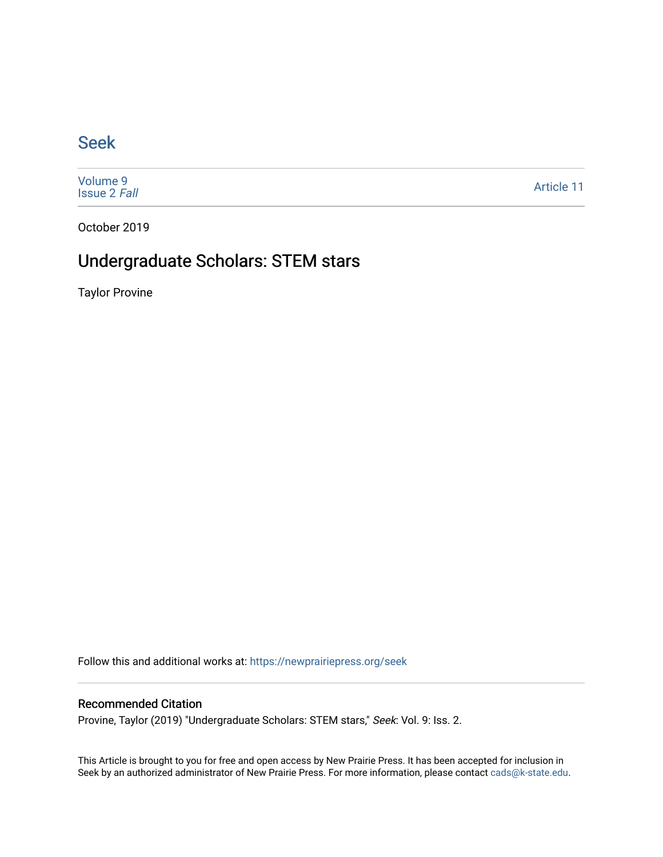### [Seek](https://newprairiepress.org/seek)

[Volume 9](https://newprairiepress.org/seek/vol9) [Issue 2](https://newprairiepress.org/seek/vol9/iss2) Fall

[Article 11](https://newprairiepress.org/seek/vol9/iss2/11) 

October 2019

## Undergraduate Scholars: STEM stars

Taylor Provine

Follow this and additional works at: [https://newprairiepress.org/seek](https://newprairiepress.org/seek?utm_source=newprairiepress.org%2Fseek%2Fvol9%2Fiss2%2F11&utm_medium=PDF&utm_campaign=PDFCoverPages)

#### Recommended Citation

Provine, Taylor (2019) "Undergraduate Scholars: STEM stars," Seek: Vol. 9: Iss. 2.

This Article is brought to you for free and open access by New Prairie Press. It has been accepted for inclusion in Seek by an authorized administrator of New Prairie Press. For more information, please contact [cads@k-state.edu](mailto:cads@k-state.edu).